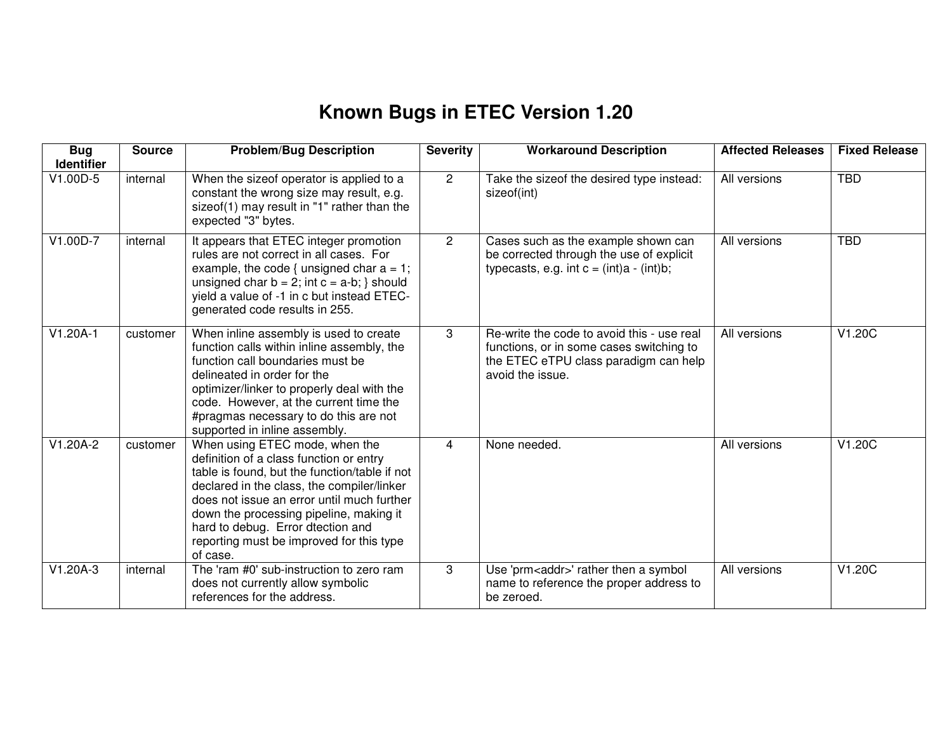## **Known Bugs in ETEC Version 1.20**

| <b>Bug</b>        | <b>Source</b> | <b>Problem/Bug Description</b>                                                                                                                                                                                                                                                                                                                                 | <b>Severity</b> | <b>Workaround Description</b>                                                                                                                       | <b>Affected Releases</b> | <b>Fixed Release</b> |
|-------------------|---------------|----------------------------------------------------------------------------------------------------------------------------------------------------------------------------------------------------------------------------------------------------------------------------------------------------------------------------------------------------------------|-----------------|-----------------------------------------------------------------------------------------------------------------------------------------------------|--------------------------|----------------------|
| <b>Identifier</b> |               |                                                                                                                                                                                                                                                                                                                                                                |                 |                                                                                                                                                     |                          |                      |
| V1.00D-5          | internal      | When the sizeof operator is applied to a<br>constant the wrong size may result, e.g.<br>sizeof(1) may result in "1" rather than the<br>expected "3" bytes.                                                                                                                                                                                                     | $\overline{2}$  | Take the sizeof the desired type instead:<br>sizeof(int)                                                                                            | All versions             | <b>TBD</b>           |
| V1.00D-7          | internal      | It appears that ETEC integer promotion<br>rules are not correct in all cases. For<br>example, the code { unsigned char $a = 1$ ;<br>unsigned char $b = 2$ ; int $c = a-b$ ; } should<br>yield a value of -1 in c but instead ETEC-<br>generated code results in 255.                                                                                           | $\overline{2}$  | Cases such as the example shown can<br>be corrected through the use of explicit<br>typecasts, e.g. int $c = (int)a - (int)b$ ;                      | All versions             | <b>TBD</b>           |
| $V1.20A-1$        | customer      | When inline assembly is used to create<br>function calls within inline assembly, the<br>function call boundaries must be<br>delineated in order for the<br>optimizer/linker to properly deal with the<br>code. However, at the current time the<br>#pragmas necessary to do this are not<br>supported in inline assembly.                                      | 3               | Re-write the code to avoid this - use real<br>functions, or in some cases switching to<br>the ETEC eTPU class paradigm can help<br>avoid the issue. | All versions             | V1.20C               |
| $V1.20A-2$        | customer      | When using ETEC mode, when the<br>definition of a class function or entry<br>table is found, but the function/table if not<br>declared in the class, the compiler/linker<br>does not issue an error until much further<br>down the processing pipeline, making it<br>hard to debug. Error dtection and<br>reporting must be improved for this type<br>of case. | 4               | None needed.                                                                                                                                        | All versions             | V1.20C               |
| $V1.20A-3$        | internal      | The 'ram #0' sub-instruction to zero ram<br>does not currently allow symbolic<br>references for the address.                                                                                                                                                                                                                                                   | 3               | Use 'prm <addr>' rather then a symbol<br/>name to reference the proper address to<br/>be zeroed.</addr>                                             | All versions             | V1.20C               |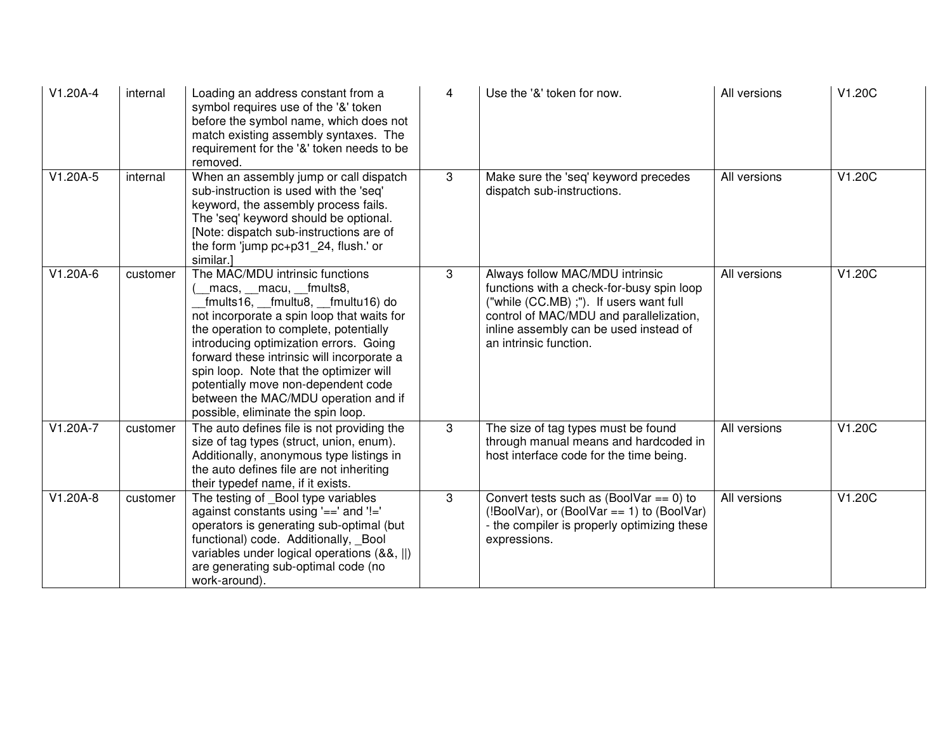| V1.20A-4   | internal | Loading an address constant from a<br>symbol requires use of the '&' token<br>before the symbol name, which does not<br>match existing assembly syntaxes. The<br>requirement for the '&' token needs to be<br>removed.                                                                                                                                                                                                                              | 4 | Use the '&' token for now.                                                                                                                                                                                                             | All versions | V1.20C |
|------------|----------|-----------------------------------------------------------------------------------------------------------------------------------------------------------------------------------------------------------------------------------------------------------------------------------------------------------------------------------------------------------------------------------------------------------------------------------------------------|---|----------------------------------------------------------------------------------------------------------------------------------------------------------------------------------------------------------------------------------------|--------------|--------|
| $V1.20A-5$ | internal | When an assembly jump or call dispatch<br>sub-instruction is used with the 'seq'<br>keyword, the assembly process fails.<br>The 'seq' keyword should be optional.<br>[Note: dispatch sub-instructions are of<br>the form 'jump pc+p31 24, flush.' or<br>similar.]                                                                                                                                                                                   | 3 | Make sure the 'seq' keyword precedes<br>dispatch sub-instructions.                                                                                                                                                                     | All versions | V1.20C |
| $V1.20A-6$ | customer | The MAC/MDU intrinsic functions<br>_macs, __macu, __fmults8,<br>fmults16, __fmultu8, __fmultu16) do<br>not incorporate a spin loop that waits for<br>the operation to complete, potentially<br>introducing optimization errors. Going<br>forward these intrinsic will incorporate a<br>spin loop. Note that the optimizer will<br>potentially move non-dependent code<br>between the MAC/MDU operation and if<br>possible, eliminate the spin loop. | 3 | Always follow MAC/MDU intrinsic<br>functions with a check-for-busy spin loop<br>("while (CC.MB) ;"). If users want full<br>control of MAC/MDU and parallelization,<br>inline assembly can be used instead of<br>an intrinsic function. | All versions | V1.20C |
| $V1.20A-7$ | customer | The auto defines file is not providing the<br>size of tag types (struct, union, enum).<br>Additionally, anonymous type listings in<br>the auto defines file are not inheriting<br>their typedef name, if it exists.                                                                                                                                                                                                                                 | 3 | The size of tag types must be found<br>through manual means and hardcoded in<br>host interface code for the time being.                                                                                                                | All versions | V1.20C |
| $V1.20A-8$ | customer | The testing of Bool type variables<br>against constants using '==' and '!='<br>operators is generating sub-optimal (but<br>functional) code. Additionally, Bool<br>variables under logical operations (&&,   )<br>are generating sub-optimal code (no<br>work-around).                                                                                                                                                                              | 3 | Convert tests such as $(BoolVar == 0)$ to<br>(!BoolVar), or (BoolVar == 1) to (BoolVar)<br>- the compiler is properly optimizing these<br>expressions.                                                                                 | All versions | V1.20C |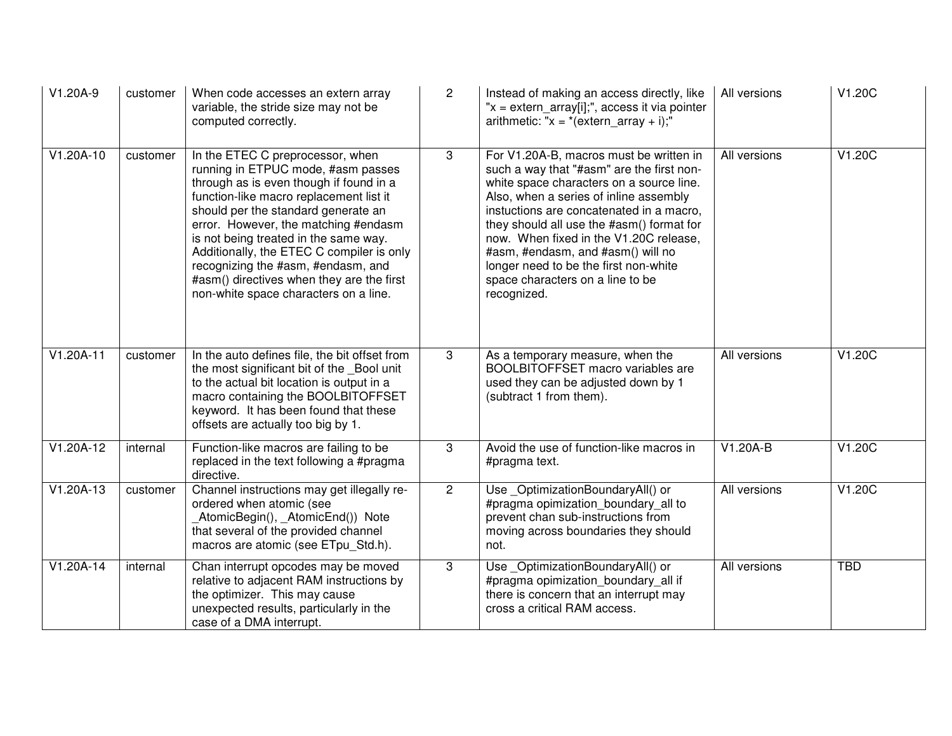| V1.20A-9    | customer | When code accesses an extern array<br>variable, the stride size may not be<br>computed correctly.                                                                                                                                                                                                                                                                                                                                                             | 2              | Instead of making an access directly, like<br>"x = extern_array[i];", access it via pointer<br>arithmetic: " $x = *$ (extern array + i);"                                                                                                                                                                                                                                                                                                      | All versions | V1.20C     |
|-------------|----------|---------------------------------------------------------------------------------------------------------------------------------------------------------------------------------------------------------------------------------------------------------------------------------------------------------------------------------------------------------------------------------------------------------------------------------------------------------------|----------------|------------------------------------------------------------------------------------------------------------------------------------------------------------------------------------------------------------------------------------------------------------------------------------------------------------------------------------------------------------------------------------------------------------------------------------------------|--------------|------------|
| $V1.20A-10$ | customer | In the ETEC C preprocessor, when<br>running in ETPUC mode, #asm passes<br>through as is even though if found in a<br>function-like macro replacement list it<br>should per the standard generate an<br>error. However, the matching #endasm<br>is not being treated in the same way.<br>Additionally, the ETEC C compiler is only<br>recognizing the #asm, #endasm, and<br>#asm() directives when they are the first<br>non-white space characters on a line. | 3              | For V1.20A-B, macros must be written in<br>such a way that "#asm" are the first non-<br>white space characters on a source line.<br>Also, when a series of inline assembly<br>instuctions are concatenated in a macro,<br>they should all use the #asm() format for<br>now. When fixed in the V1.20C release,<br>#asm, #endasm, and #asm() will no<br>longer need to be the first non-white<br>space characters on a line to be<br>recognized. | All versions | V1.20C     |
| $V1.20A-11$ | customer | In the auto defines file, the bit offset from<br>the most significant bit of the Bool unit<br>to the actual bit location is output in a<br>macro containing the BOOLBITOFFSET<br>keyword. It has been found that these<br>offsets are actually too big by 1.                                                                                                                                                                                                  | 3              | As a temporary measure, when the<br>BOOLBITOFFSET macro variables are<br>used they can be adjusted down by 1<br>(subtract 1 from them).                                                                                                                                                                                                                                                                                                        | All versions | V1.20C     |
| V1.20A-12   | internal | Function-like macros are failing to be<br>replaced in the text following a #pragma<br>directive.                                                                                                                                                                                                                                                                                                                                                              | 3              | Avoid the use of function-like macros in<br>#pragma text.                                                                                                                                                                                                                                                                                                                                                                                      | V1.20A-B     | V1.20C     |
| $V1.20A-13$ | customer | Channel instructions may get illegally re-<br>ordered when atomic (see<br>AtomicBegin(), AtomicEnd()) Note<br>that several of the provided channel<br>macros are atomic (see ETpu Std.h).                                                                                                                                                                                                                                                                     | $\overline{2}$ | Use OptimizationBoundaryAll() or<br>#pragma opimization boundary all to<br>prevent chan sub-instructions from<br>moving across boundaries they should<br>not.                                                                                                                                                                                                                                                                                  | All versions | V1.20C     |
| $V1.20A-14$ | internal | Chan interrupt opcodes may be moved<br>relative to adjacent RAM instructions by<br>the optimizer. This may cause<br>unexpected results, particularly in the<br>case of a DMA interrupt.                                                                                                                                                                                                                                                                       | 3              | Use OptimizationBoundaryAll() or<br>#pragma opimization_boundary_all if<br>there is concern that an interrupt may<br>cross a critical RAM access.                                                                                                                                                                                                                                                                                              | All versions | <b>TBD</b> |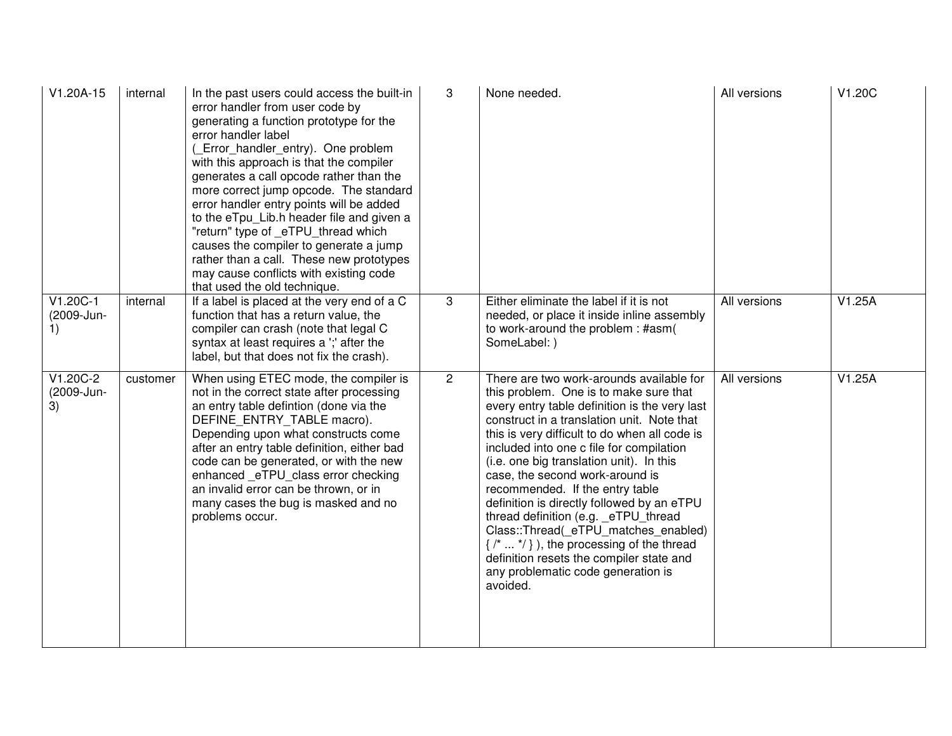| $V1.20A-15$                    | internal | In the past users could access the built-in<br>error handler from user code by<br>generating a function prototype for the<br>error handler label<br>(Error_handler_entry). One problem<br>with this approach is that the compiler<br>generates a call opcode rather than the<br>more correct jump opcode. The standard<br>error handler entry points will be added<br>to the eTpu_Lib.h header file and given a<br>"return" type of _eTPU_thread which<br>causes the compiler to generate a jump<br>rather than a call. These new prototypes<br>may cause conflicts with existing code<br>that used the old technique. | 3              | None needed.                                                                                                                                                                                                                                                                                                                                                                                                                                                                                                                                                                                                                                                                    | All versions | V1.20C |
|--------------------------------|----------|------------------------------------------------------------------------------------------------------------------------------------------------------------------------------------------------------------------------------------------------------------------------------------------------------------------------------------------------------------------------------------------------------------------------------------------------------------------------------------------------------------------------------------------------------------------------------------------------------------------------|----------------|---------------------------------------------------------------------------------------------------------------------------------------------------------------------------------------------------------------------------------------------------------------------------------------------------------------------------------------------------------------------------------------------------------------------------------------------------------------------------------------------------------------------------------------------------------------------------------------------------------------------------------------------------------------------------------|--------------|--------|
| V1.20C-1<br>(2009-Jun-<br>1)   | internal | If a label is placed at the very end of a C<br>function that has a return value, the<br>compiler can crash (note that legal C<br>syntax at least requires a ';' after the<br>label, but that does not fix the crash).                                                                                                                                                                                                                                                                                                                                                                                                  | 3              | Either eliminate the label if it is not<br>needed, or place it inside inline assembly<br>to work-around the problem : #asm(<br>SomeLabel: )                                                                                                                                                                                                                                                                                                                                                                                                                                                                                                                                     | All versions | V1.25A |
| $V1.20C-2$<br>(2009-Jun-<br>3) | customer | When using ETEC mode, the compiler is<br>not in the correct state after processing<br>an entry table defintion (done via the<br>DEFINE_ENTRY_TABLE macro).<br>Depending upon what constructs come<br>after an entry table definition, either bad<br>code can be generated, or with the new<br>enhanced eTPU class error checking<br>an invalid error can be thrown, or in<br>many cases the bug is masked and no<br>problems occur.                                                                                                                                                                                    | $\overline{2}$ | There are two work-arounds available for<br>this problem. One is to make sure that<br>every entry table definition is the very last<br>construct in a translation unit. Note that<br>this is very difficult to do when all code is<br>included into one c file for compilation<br>(i.e. one big translation unit). In this<br>case, the second work-around is<br>recommended. If the entry table<br>definition is directly followed by an eTPU<br>thread definition (e.g. eTPU thread<br>Class::Thread(_eTPU_matches_enabled)<br>$\{7, \ldots 7\}$ , the processing of the thread<br>definition resets the compiler state and<br>any problematic code generation is<br>avoided. | All versions | V1.25A |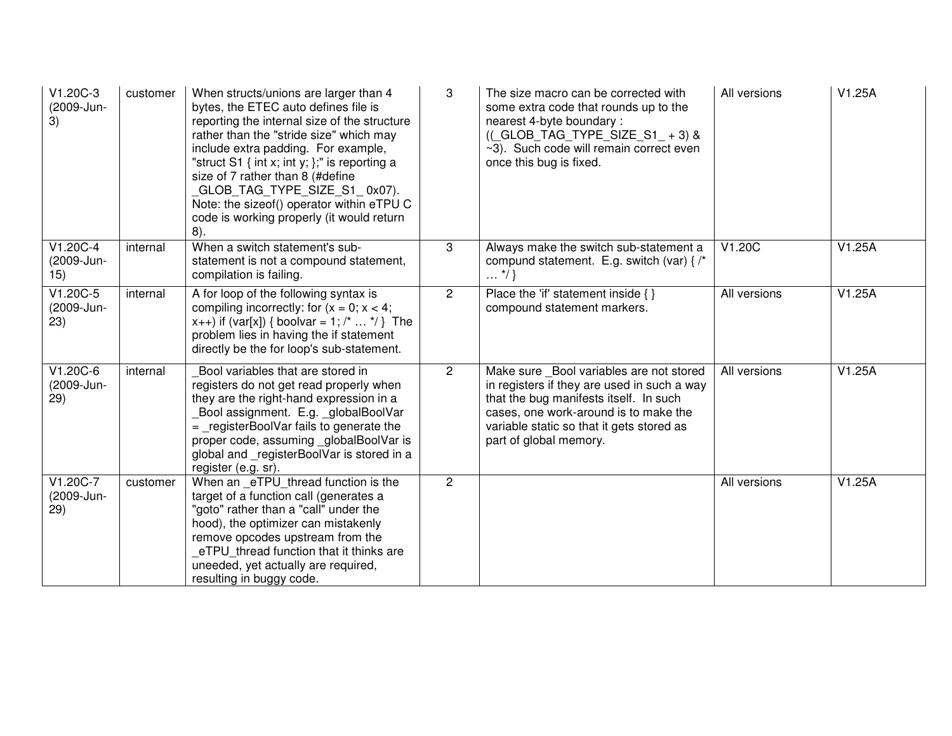| $V1.20C-3$<br>(2009-Jun-<br>3)  | customer | When structs/unions are larger than 4<br>bytes, the ETEC auto defines file is<br>reporting the internal size of the structure<br>rather than the "stride size" which may<br>include extra padding. For example,<br>"struct S1 $\{$ int x; int y; $\}$ ;" is reporting a<br>size of 7 rather than 8 (#define<br>_GLOB_TAG_TYPE_SIZE_S1_0x07).<br>Note: the sizeof() operator within eTPU C<br>code is working properly (it would return<br>8). | 3              | The size macro can be corrected with<br>some extra code that rounds up to the<br>nearest 4-byte boundary:<br>$(($ GLOB_TAG_TYPE_SIZE_S1_+3) &<br>~3). Such code will remain correct even<br>once this bug is fixed.                               | All versions | V1.25A               |
|---------------------------------|----------|-----------------------------------------------------------------------------------------------------------------------------------------------------------------------------------------------------------------------------------------------------------------------------------------------------------------------------------------------------------------------------------------------------------------------------------------------|----------------|---------------------------------------------------------------------------------------------------------------------------------------------------------------------------------------------------------------------------------------------------|--------------|----------------------|
| $V1.20C-4$<br>(2009-Jun-<br>15) | internal | When a switch statement's sub-<br>statement is not a compound statement,<br>compilation is failing.                                                                                                                                                                                                                                                                                                                                           | 3              | Always make the switch sub-statement a<br>compund statement. E.g. switch (var) $\frac{1}{2}$ /*<br>$\ldots$ */ }                                                                                                                                  | V1.20C       | V1.25A               |
| V1.20C-5<br>(2009-Jun-<br>23)   | internal | A for loop of the following syntax is<br>compiling incorrectly: for $(x = 0; x < 4;$<br>$x++$ ) if (var[x]) { boolvar = 1; /*  */ } The<br>problem lies in having the if statement<br>directly be the for loop's sub-statement.                                                                                                                                                                                                               | $\overline{2}$ | Place the 'if' statement inside { }<br>compound statement markers.                                                                                                                                                                                | All versions | $\overline{V}$ 1.25A |
| V1.20C-6<br>(2009-Jun-<br>29)   | internal | Bool variables that are stored in<br>registers do not get read properly when<br>they are the right-hand expression in a<br>Bool assignment. E.g. globalBoolVar<br>$=$ register BoolVar fails to generate the<br>proper code, assuming _globalBoolVar is<br>global and registerBoolVar is stored in a<br>register (e.g. sr).                                                                                                                   | $\overline{2}$ | Make sure _Bool variables are not stored<br>in registers if they are used in such a way<br>that the bug manifests itself. In such<br>cases, one work-around is to make the<br>variable static so that it gets stored as<br>part of global memory. | All versions | V1.25A               |
| $V1.20C-7$<br>(2009-Jun-<br>29) | customer | When an eTPU_thread function is the<br>target of a function call (generates a<br>"goto" rather than a "call" under the<br>hood), the optimizer can mistakenly<br>remove opcodes upstream from the<br>eTPU thread function that it thinks are<br>uneeded, yet actually are required,<br>resulting in buggy code.                                                                                                                               | $\mathbf{2}$   |                                                                                                                                                                                                                                                   | All versions | V1.25A               |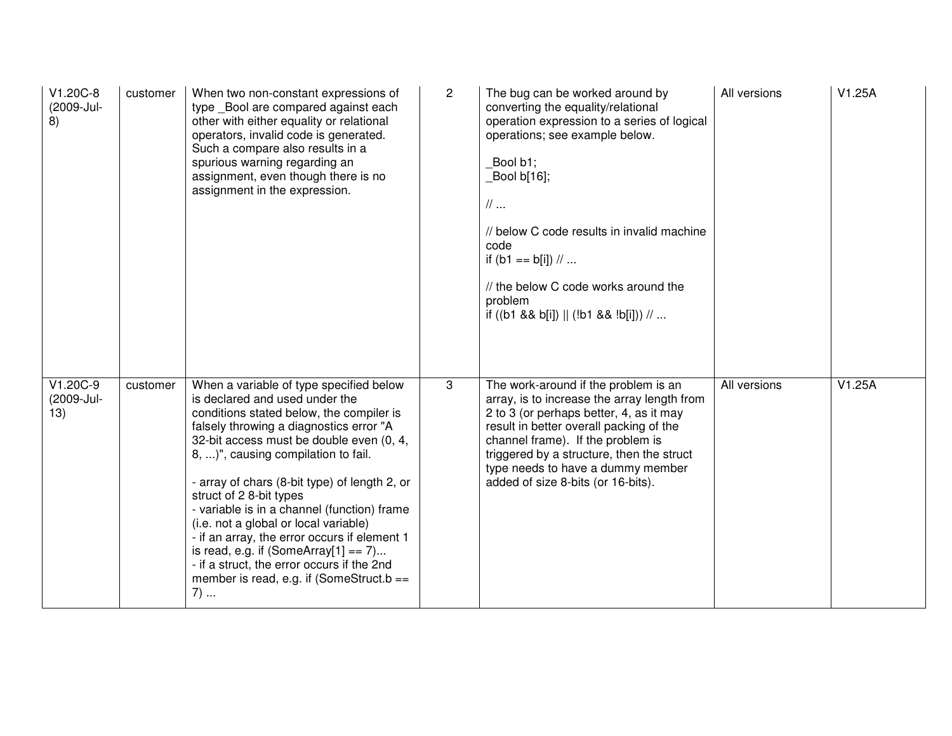| V1.20C-8<br>(2009-Jul-<br>8)  | customer | When two non-constant expressions of<br>type _Bool are compared against each<br>other with either equality or relational<br>operators, invalid code is generated.<br>Such a compare also results in a<br>spurious warning regarding an<br>assignment, even though there is no<br>assignment in the expression.                                                                                                                                                                                                                                                                                                      | $\mathbf{2}$ | The bug can be worked around by<br>converting the equality/relational<br>operation expression to a series of logical<br>operations; see example below.<br>Bool b1;<br>Bool b[16];<br>$\mathcal{U}$<br>// below C code results in invalid machine<br>code<br>if (b1 == $b[i]$ ) //<br>// the below C code works around the<br>problem<br>if ((b1 && b[i])    (!b1 && !b[i])) // | All versions | V1.25A |
|-------------------------------|----------|---------------------------------------------------------------------------------------------------------------------------------------------------------------------------------------------------------------------------------------------------------------------------------------------------------------------------------------------------------------------------------------------------------------------------------------------------------------------------------------------------------------------------------------------------------------------------------------------------------------------|--------------|--------------------------------------------------------------------------------------------------------------------------------------------------------------------------------------------------------------------------------------------------------------------------------------------------------------------------------------------------------------------------------|--------------|--------|
| V1.20C-9<br>(2009-Jul-<br>13) | customer | When a variable of type specified below<br>is declared and used under the<br>conditions stated below, the compiler is<br>falsely throwing a diagnostics error "A<br>32-bit access must be double even (0, 4,<br>8, )", causing compilation to fail.<br>- array of chars (8-bit type) of length 2, or<br>struct of 2 8-bit types<br>- variable is in a channel (function) frame<br>(i.e. not a global or local variable)<br>- if an array, the error occurs if element 1<br>is read, e.g. if $(SomeArray[1] == 7)$<br>- if a struct, the error occurs if the 2nd<br>member is read, e.g. if (SomeStruct.b ==<br>$7)$ | 3            | The work-around if the problem is an<br>array, is to increase the array length from<br>2 to 3 (or perhaps better, 4, as it may<br>result in better overall packing of the<br>channel frame). If the problem is<br>triggered by a structure, then the struct<br>type needs to have a dummy member<br>added of size 8-bits (or 16-bits).                                         | All versions | V1.25A |